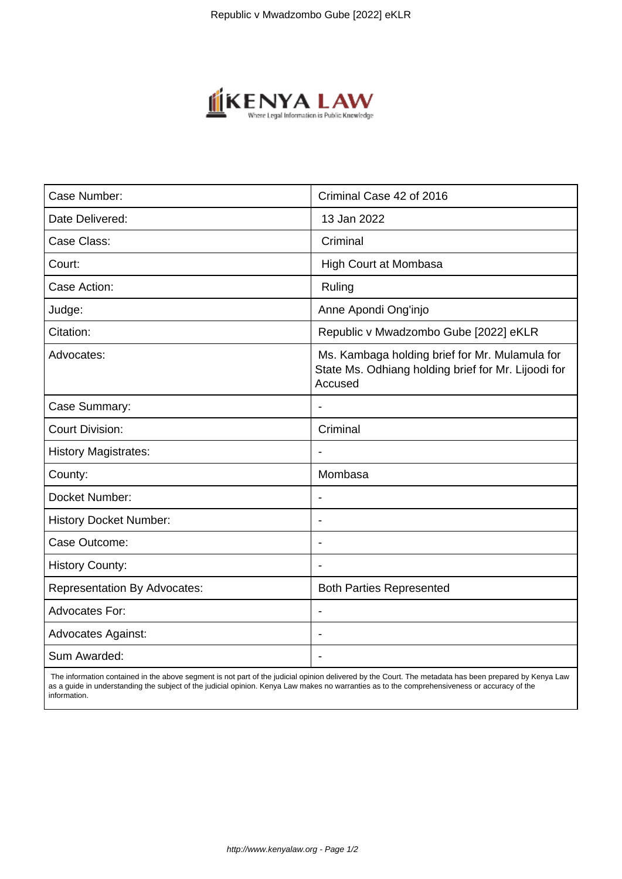

| Case Number:                        | Criminal Case 42 of 2016                                                                                         |
|-------------------------------------|------------------------------------------------------------------------------------------------------------------|
| Date Delivered:                     | 13 Jan 2022                                                                                                      |
| Case Class:                         | Criminal                                                                                                         |
| Court:                              | <b>High Court at Mombasa</b>                                                                                     |
| Case Action:                        | Ruling                                                                                                           |
| Judge:                              | Anne Apondi Ong'injo                                                                                             |
| Citation:                           | Republic v Mwadzombo Gube [2022] eKLR                                                                            |
| Advocates:                          | Ms. Kambaga holding brief for Mr. Mulamula for<br>State Ms. Odhiang holding brief for Mr. Lijoodi for<br>Accused |
| Case Summary:                       |                                                                                                                  |
| <b>Court Division:</b>              | Criminal                                                                                                         |
| <b>History Magistrates:</b>         |                                                                                                                  |
| County:                             | Mombasa                                                                                                          |
| Docket Number:                      | $\qquad \qquad \blacksquare$                                                                                     |
| <b>History Docket Number:</b>       |                                                                                                                  |
| Case Outcome:                       | $\overline{\phantom{a}}$                                                                                         |
| <b>History County:</b>              |                                                                                                                  |
| <b>Representation By Advocates:</b> | <b>Both Parties Represented</b>                                                                                  |
| <b>Advocates For:</b>               |                                                                                                                  |
| <b>Advocates Against:</b>           |                                                                                                                  |
| Sum Awarded:                        |                                                                                                                  |

 The information contained in the above segment is not part of the judicial opinion delivered by the Court. The metadata has been prepared by Kenya Law as a guide in understanding the subject of the judicial opinion. Kenya Law makes no warranties as to the comprehensiveness or accuracy of the information.